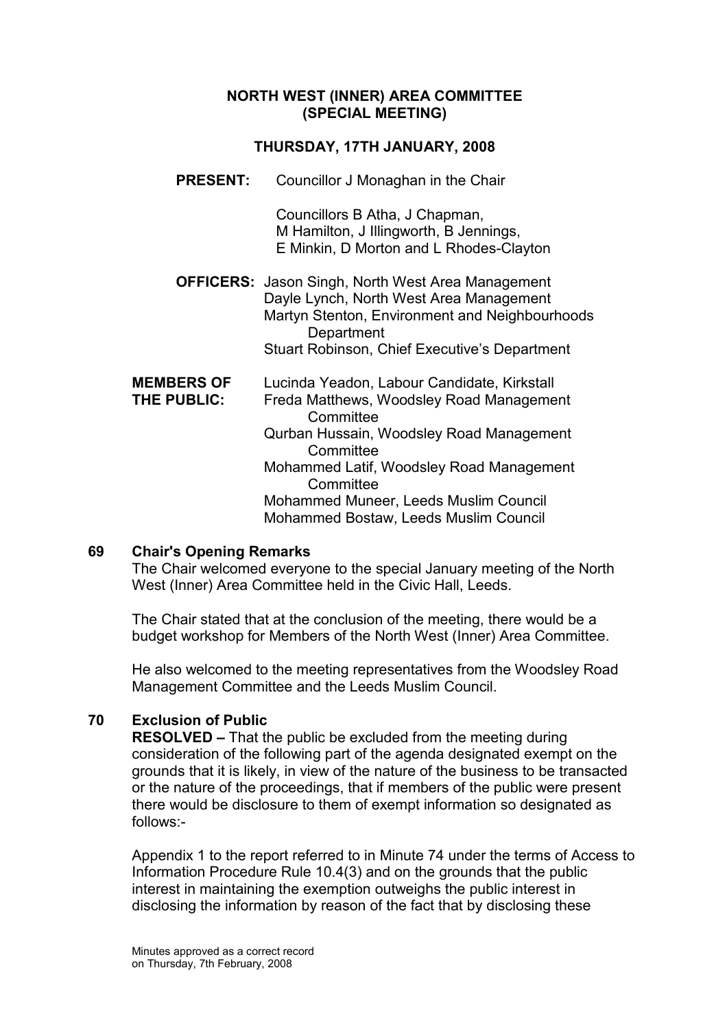#### NORTH WEST (INNER) AREA COMMITTEE (SPECIAL MEETING)

#### THURSDAY, 17TH JANUARY, 2008

PRESENT: Councillor J Monaghan in the Chair

 Councillors B Atha, J Chapman, M Hamilton, J Illingworth, B Jennings, E Minkin, D Morton and L Rhodes-Clayton

OFFICERS: Jason Singh, North West Area Management Dayle Lynch, North West Area Management Martyn Stenton, Environment and Neighbourhoods **Department** Stuart Robinson, Chief Executive's Department

| <b>MEMBERS OF</b> | Lucinda Yeadon, Labour Candidate, Kirkstall |
|-------------------|---------------------------------------------|
| THE PUBLIC:       | Freda Matthews, Woodsley Road Management    |
|                   | Committee                                   |
|                   | Qurban Hussain, Woodsley Road Management    |
|                   | Committee                                   |
|                   | Mohammed Latif, Woodsley Road Management    |
|                   | Committee                                   |
|                   | Mohammed Muneer, Leeds Muslim Council       |
|                   | Mohammed Bostaw, Leeds Muslim Council       |

#### 69 Chair's Opening Remarks

The Chair welcomed everyone to the special January meeting of the North West (Inner) Area Committee held in the Civic Hall, Leeds.

The Chair stated that at the conclusion of the meeting, there would be a budget workshop for Members of the North West (Inner) Area Committee.

He also welcomed to the meeting representatives from the Woodsley Road Management Committee and the Leeds Muslim Council.

# 70 Exclusion of Public

RESOLVED – That the public be excluded from the meeting during consideration of the following part of the agenda designated exempt on the grounds that it is likely, in view of the nature of the business to be transacted or the nature of the proceedings, that if members of the public were present there would be disclosure to them of exempt information so designated as follows:-

Appendix 1 to the report referred to in Minute 74 under the terms of Access to Information Procedure Rule 10.4(3) and on the grounds that the public interest in maintaining the exemption outweighs the public interest in disclosing the information by reason of the fact that by disclosing these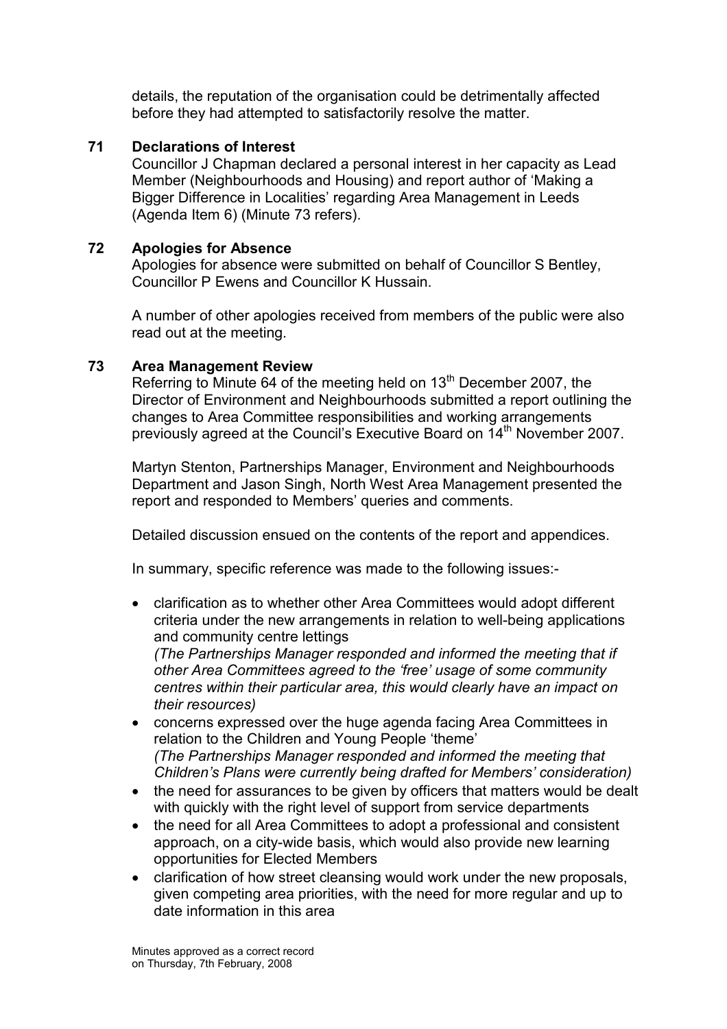details, the reputation of the organisation could be detrimentally affected before they had attempted to satisfactorily resolve the matter.

### 71 Declarations of Interest

Councillor J Chapman declared a personal interest in her capacity as Lead Member (Neighbourhoods and Housing) and report author of 'Making a Bigger Difference in Localities' regarding Area Management in Leeds (Agenda Item 6) (Minute 73 refers).

### 72 Apologies for Absence

Apologies for absence were submitted on behalf of Councillor S Bentley, Councillor P Ewens and Councillor K Hussain.

A number of other apologies received from members of the public were also read out at the meeting.

#### 73 Area Management Review

Referring to Minute 64 of the meeting held on 13<sup>th</sup> December 2007, the Director of Environment and Neighbourhoods submitted a report outlining the changes to Area Committee responsibilities and working arrangements previously agreed at the Council's Executive Board on 14<sup>th</sup> November 2007.

Martyn Stenton, Partnerships Manager, Environment and Neighbourhoods Department and Jason Singh, North West Area Management presented the report and responded to Members' queries and comments.

Detailed discussion ensued on the contents of the report and appendices.

In summary, specific reference was made to the following issues:-

• clarification as to whether other Area Committees would adopt different criteria under the new arrangements in relation to well-being applications and community centre lettings

(The Partnerships Manager responded and informed the meeting that if other Area Committees agreed to the 'free' usage of some community centres within their particular area, this would clearly have an impact on their resources)

- concerns expressed over the huge agenda facing Area Committees in relation to the Children and Young People 'theme' (The Partnerships Manager responded and informed the meeting that Children's Plans were currently being drafted for Members' consideration)
- the need for assurances to be given by officers that matters would be dealt with quickly with the right level of support from service departments
- the need for all Area Committees to adopt a professional and consistent approach, on a city-wide basis, which would also provide new learning opportunities for Elected Members
- clarification of how street cleansing would work under the new proposals, given competing area priorities, with the need for more regular and up to date information in this area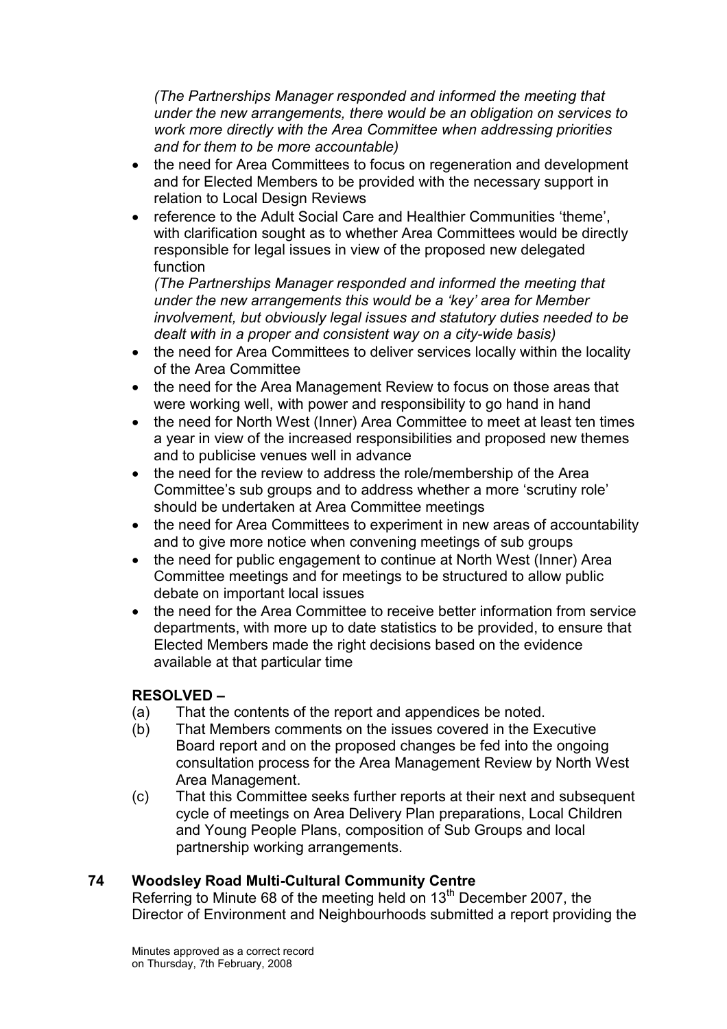(The Partnerships Manager responded and informed the meeting that under the new arrangements, there would be an obligation on services to work more directly with the Area Committee when addressing priorities and for them to be more accountable)

- the need for Area Committees to focus on regeneration and development and for Elected Members to be provided with the necessary support in relation to Local Design Reviews
- reference to the Adult Social Care and Healthier Communities 'theme', with clarification sought as to whether Area Committees would be directly responsible for legal issues in view of the proposed new delegated function

(The Partnerships Manager responded and informed the meeting that under the new arrangements this would be a 'key' area for Member involvement, but obviously legal issues and statutory duties needed to be dealt with in a proper and consistent way on a city-wide basis)

- the need for Area Committees to deliver services locally within the locality of the Area Committee
- the need for the Area Management Review to focus on those areas that were working well, with power and responsibility to go hand in hand
- the need for North West (Inner) Area Committee to meet at least ten times a year in view of the increased responsibilities and proposed new themes and to publicise venues well in advance
- the need for the review to address the role/membership of the Area Committee's sub groups and to address whether a more 'scrutiny role' should be undertaken at Area Committee meetings
- the need for Area Committees to experiment in new areas of accountability and to give more notice when convening meetings of sub groups
- the need for public engagement to continue at North West (Inner) Area Committee meetings and for meetings to be structured to allow public debate on important local issues
- the need for the Area Committee to receive better information from service departments, with more up to date statistics to be provided, to ensure that Elected Members made the right decisions based on the evidence available at that particular time

# RESOLVED –

- (a) That the contents of the report and appendices be noted.
- (b) That Members comments on the issues covered in the Executive Board report and on the proposed changes be fed into the ongoing consultation process for the Area Management Review by North West Area Management.
- (c) That this Committee seeks further reports at their next and subsequent cycle of meetings on Area Delivery Plan preparations, Local Children and Young People Plans, composition of Sub Groups and local partnership working arrangements.

# 74 Woodsley Road Multi-Cultural Community Centre

Referring to Minute 68 of the meeting held on 13<sup>th</sup> December 2007, the Director of Environment and Neighbourhoods submitted a report providing the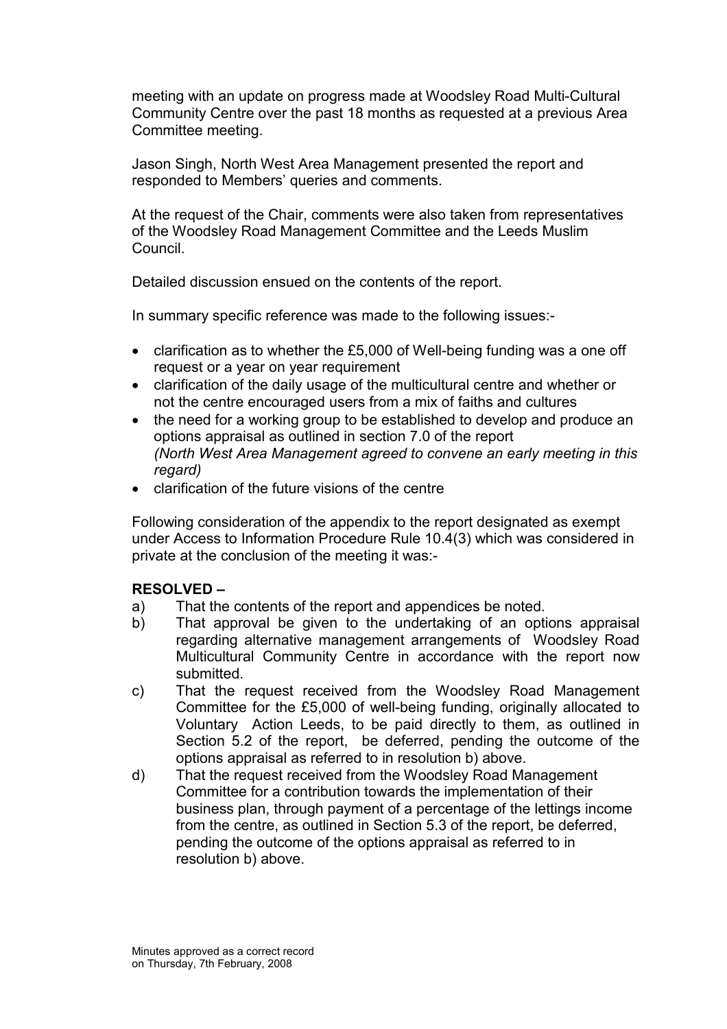meeting with an update on progress made at Woodsley Road Multi-Cultural Community Centre over the past 18 months as requested at a previous Area Committee meeting.

Jason Singh, North West Area Management presented the report and responded to Members' queries and comments.

At the request of the Chair, comments were also taken from representatives of the Woodsley Road Management Committee and the Leeds Muslim Council.

Detailed discussion ensued on the contents of the report.

In summary specific reference was made to the following issues:-

- clarification as to whether the £5,000 of Well-being funding was a one off request or a year on year requirement
- clarification of the daily usage of the multicultural centre and whether or not the centre encouraged users from a mix of faiths and cultures
- the need for a working group to be established to develop and produce an options appraisal as outlined in section 7.0 of the report (North West Area Management agreed to convene an early meeting in this regard)
- clarification of the future visions of the centre

Following consideration of the appendix to the report designated as exempt under Access to Information Procedure Rule 10.4(3) which was considered in private at the conclusion of the meeting it was:-

#### RESOLVED –

- a) That the contents of the report and appendices be noted.
- b) That approval be given to the undertaking of an options appraisal regarding alternative management arrangements of Woodsley Road Multicultural Community Centre in accordance with the report now submitted.
- c) That the request received from the Woodsley Road Management Committee for the £5,000 of well-being funding, originally allocated to Voluntary Action Leeds, to be paid directly to them, as outlined in Section 5.2 of the report, be deferred, pending the outcome of the options appraisal as referred to in resolution b) above.
- d) That the request received from the Woodsley Road Management Committee for a contribution towards the implementation of their business plan, through payment of a percentage of the lettings income from the centre, as outlined in Section 5.3 of the report, be deferred, pending the outcome of the options appraisal as referred to in resolution b) above.